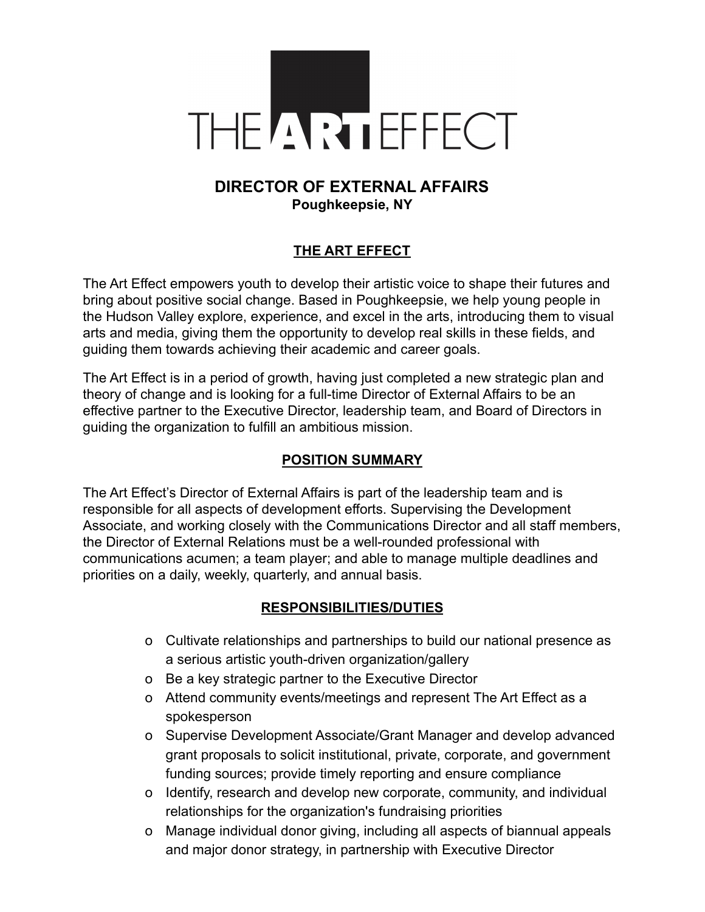

# **DIRECTOR OF EXTERNAL AFFAIRS Poughkeepsie, NY**

### **THE ART EFFECT**

The Art Effect empowers youth to develop their artistic voice to shape their futures and bring about positive social change. Based in Poughkeepsie, we help young people in the Hudson Valley explore, experience, and excel in the arts, introducing them to visual arts and media, giving them the opportunity to develop real skills in these fields, and guiding them towards achieving their academic and career goals.

The Art Effect is in a period of growth, having just completed a new strategic plan and theory of change and is looking for a full-time Director of External Affairs to be an effective partner to the Executive Director, leadership team, and Board of Directors in guiding the organization to fulfill an ambitious mission.

#### **POSITION SUMMARY**

The Art Effect's Director of External Affairs is part of the leadership team and is responsible for all aspects of development efforts. Supervising the Development Associate, and working closely with the Communications Director and all staff members, the Director of External Relations must be a well-rounded professional with communications acumen; a team player; and able to manage multiple deadlines and priorities on a daily, weekly, quarterly, and annual basis.

#### **RESPONSIBILITIES/DUTIES**

- o Cultivate relationships and partnerships to build our national presence as a serious artistic youth-driven organization/gallery
- o Be a key strategic partner to the Executive Director
- o Attend community events/meetings and represent The Art Effect as a spokesperson
- o Supervise Development Associate/Grant Manager and develop advanced grant proposals to solicit institutional, private, corporate, and government funding sources; provide timely reporting and ensure compliance
- o Identify, research and develop new corporate, community, and individual relationships for the organization's fundraising priorities
- o Manage individual donor giving, including all aspects of biannual appeals and major donor strategy, in partnership with Executive Director